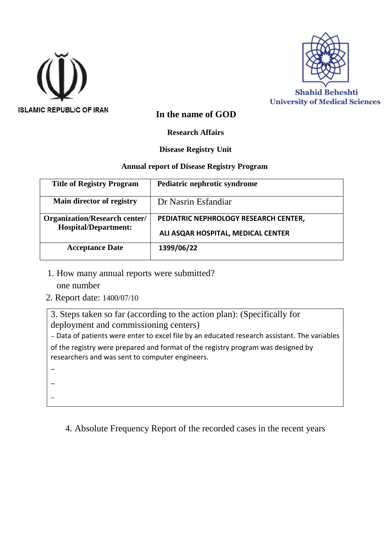



#### **In the name of GOD**

**Research Affairs**

#### **Disease Registry Unit**

#### **Annual report of Disease Registry Program**

| <b>Title of Registry Program</b>                                    | Pediatric nephrotic syndrome          |
|---------------------------------------------------------------------|---------------------------------------|
| Main director of registry                                           | Dr Nasrin Esfandiar                   |
| <b>Organization/Research center/</b><br><b>Hospital/Department:</b> | PEDIATRIC NEPHROLOGY RESEARCH CENTER, |
|                                                                     | ALI ASQAR HOSPITAL, MEDICAL CENTER    |
| <b>Acceptance Date</b>                                              | 1399/06/22                            |

1. How many annual reports were submitted?

one number

**-**

**-**

-

2. Report date: 1400/07/10

3. Steps taken so far (according to the action plan): (Specifically for deployment and commissioning centers)

**-** Data of patients were enter to excel file by an educated research assistant. The variables of the registry were prepared and format of the registry program was designed by researchers and was sent to computer engineers.

4. Absolute Frequency Report of the recorded cases in the recent years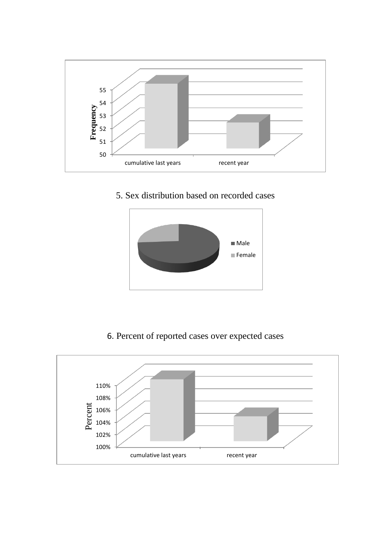

5. Sex distribution based on recorded cases



6. Percent of reported cases over expected cases

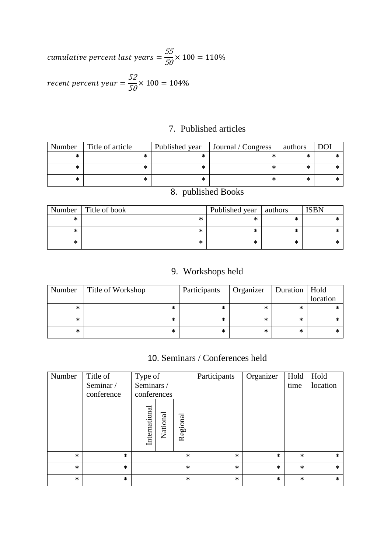cumulative percent last years =  $\frac{55}{60}$  $\frac{50}{50}$  × 100 = 110% recent percent year =  $\frac{52}{52}$  $\frac{50}{50}$  × 100 = 104%

## 7. Published articles

| Number | Title of article | Published year | Journal / Congress | authors | <b>DOI</b> |
|--------|------------------|----------------|--------------------|---------|------------|
|        |                  |                |                    | ж       |            |
| ∗      |                  |                |                    | ∗       |            |
| ∗      |                  |                |                    | ∗       |            |

| Number | Title of book | Published year   authors |   | <b>ISBN</b> |
|--------|---------------|--------------------------|---|-------------|
| $\ast$ | ∗             | $\ast$                   | * |             |
| ж      | ∗             | ∗                        | ∗ |             |
| ж      | ∗             | $\ast$                   | ∗ |             |

# 8. published Books

## 9. Workshops held

| Number | Title of Workshop | Participants | Organizer | Duration   Hold | location |
|--------|-------------------|--------------|-----------|-----------------|----------|
| ∗      | ∗                 | ∗            | *         | ∗               |          |
| ∗      | *                 | ∗            | *         | ∗               |          |
| ∗      | ∗                 | ∗            | ∗         | $\ast$          |          |

## 10. Seminars / Conferences held

| Number | Title of<br>Seminar /<br>conference | Type of<br>Seminars /<br>conferences |          | Participants | Organizer | Hold<br>time | Hold<br>location |        |
|--------|-------------------------------------|--------------------------------------|----------|--------------|-----------|--------------|------------------|--------|
|        |                                     | International                        | National | Regional     |           |              |                  |        |
| $\ast$ | $\ast$                              |                                      |          | $\ast$       | $\ast$    | $\ast$       | $\ast$           | $\ast$ |
| $\ast$ | $\ast$                              |                                      |          | $\ast$       | $\ast$    | $\ast$       | $\ast$           | $\ast$ |
| $\ast$ | $\ast$                              |                                      |          | $\ast$       | $\ast$    | $\ast$       | $\ast$           | $\ast$ |